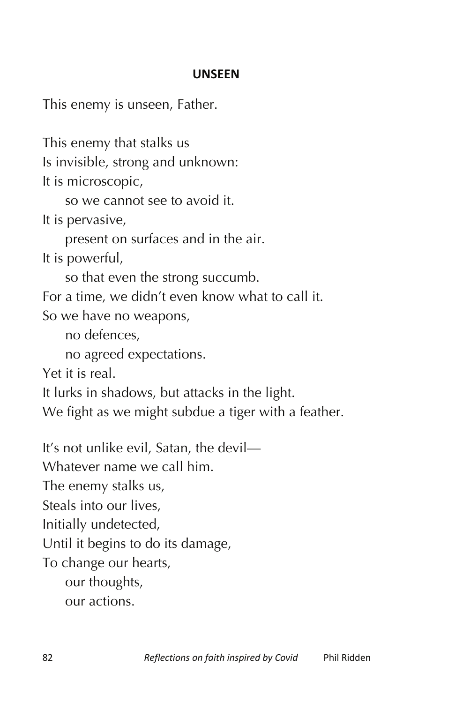## **UNSEEN**

This enemy is unseen, Father.

This enemy that stalks us

Is invisible, strong and unknown:

It is microscopic,

so we cannot see to avoid it.

It is pervasive,

present on surfaces and in the air.

It is powerful,

so that even the strong succumb.

For a time, we didn't even know what to call it.

So we have no weapons,

no defences,

no agreed expectations.

Yet it is real.

It lurks in shadows, but attacks in the light.

We fight as we might subdue a tiger with a feather.

It's not unlike evil, Satan, the devil—

Whatever name we call him.

The enemy stalks us,

Steals into our lives,

Initially undetected,

Until it begins to do its damage,

To change our hearts,

our thoughts,

our actions.